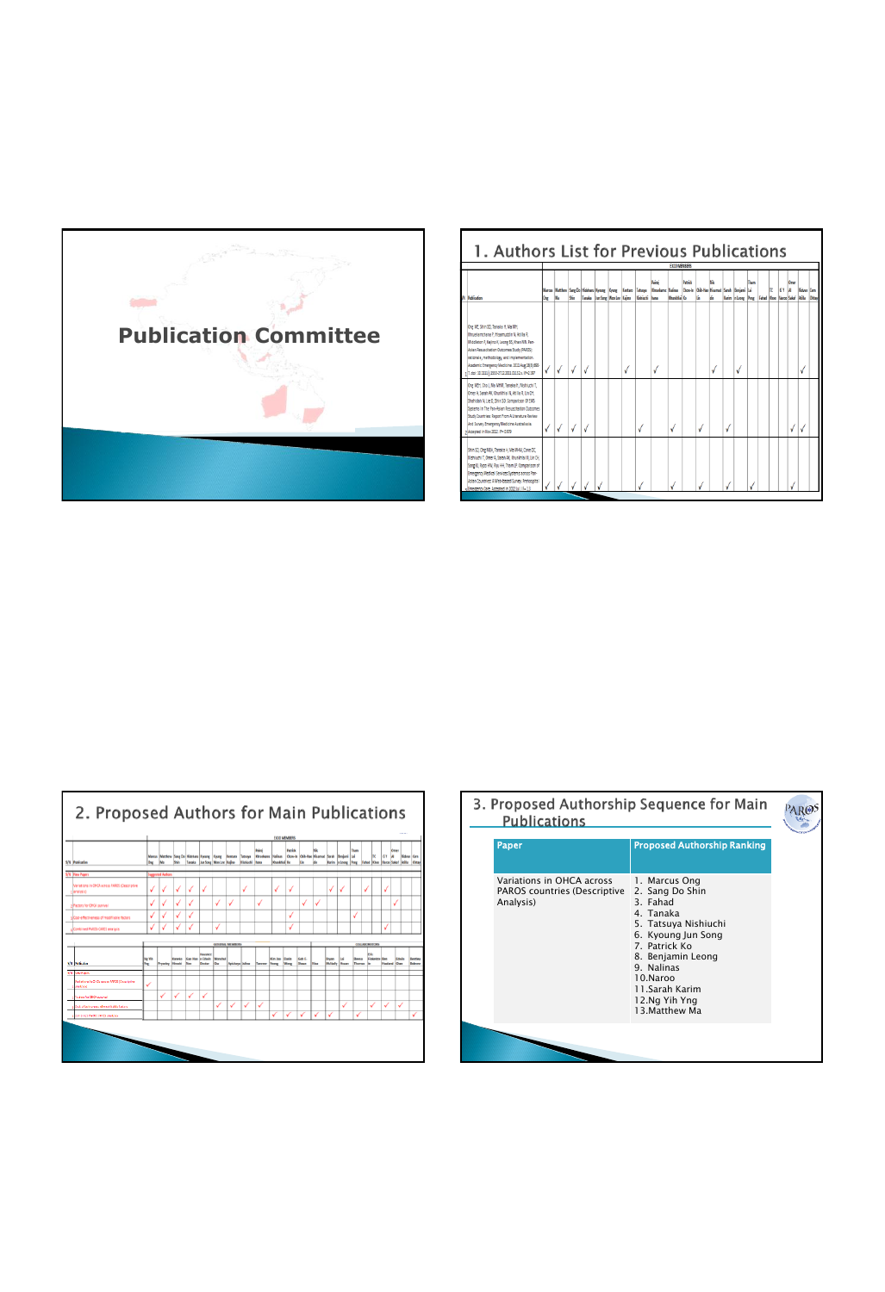

| 1. Authors List for Previous Publications                                                                                                                                                                                                                                                                                                       |              |           |      |                                 |  |                       |                                                                                                                                   |                                            |         |    |           |                                                                  |             |   |             |      |                  |  |
|-------------------------------------------------------------------------------------------------------------------------------------------------------------------------------------------------------------------------------------------------------------------------------------------------------------------------------------------------|--------------|-----------|------|---------------------------------|--|-----------------------|-----------------------------------------------------------------------------------------------------------------------------------|--------------------------------------------|---------|----|-----------|------------------------------------------------------------------|-------------|---|-------------|------|------------------|--|
| <b>AL Publication</b>                                                                                                                                                                                                                                                                                                                           | <b>One</b>   | <b>Ma</b> | Shin | Tanaka Liun Song Won Lee Kalino |  | <b>Nishiuchi</b> hana | Pairai<br>Marcus Matthew Sang Do Hidebaru Kyong Kyong Kentaro Tatsova Khrvekame Nafnas Chow in Chik-Hao Hisamud Sarah Benjami Lai | <b>EXCO MEMBERS</b><br><b>Khankhira</b> Ko | Parring | h. | ۱ü<br>l6. | Karin In Leong Peng   Fahad Khoo   Naroo   Sakat   Adita   Oktay | <b>Tham</b> | m | <b>GY A</b> | Omer | <b>Royes Cem</b> |  |
| One ME, Shin SD, Tanaka H, Ma MH.<br><b>Utruekenchana P. Hisamuddin II, Atilla R.</b><br>Middleton P. Kailno K. Leong BS, Khan MN, Pan-<br>Asian Resuscitation Outcomes Study (PAROS):<br>rationale, methodology, and implementation.<br>Academic Emergency Medicine, 2011 Aug 18/8:390-<br>17. doi: 10.1115/il 1558-2712 2011 00132 x IF=2.197 |              | √         | √    |                                 |  |                       |                                                                                                                                   |                                            |         |    |           |                                                                  |             |   |             |      |                  |  |
| One MEH, Cho J, Ma MHM, Tanaka H, Nishiuchi T,<br>Oner A. Sarah AK, Khunkhiai N, Atilla R, Lin DH.<br>Shehideh N, Lie D, Shin SD, Comparison Of EMS<br>Systems in The Pan-Asian Resystitation Outromes<br>Study Countries: Report From A Literature Review<br>And Suivey, Emergency Medicine Australiasia.<br>>Accepted in Nov 2012, IF= 0.979  | $\checkmark$ | √         |      |                                 |  |                       |                                                                                                                                   | √                                          |         |    |           |                                                                  |             |   |             |      |                  |  |
| Shin SD, Ong MEH, Tanaka H, Ma MHM, Cone DC.<br>Nishiuchi T. Omer A. Sarah AK. Khunkhlai N. Lin DH.<br>Song Ki, Rygo HW, Ryu HH, Tham IP, Comparison of<br>Emergency Medical Services Systems across Pan-<br>Asian Countries: A Web-based Suney, Prehospital<br>«Emergency Care, Accepted in 2012 Jul. IF+13                                    |              |           |      |                                 |  |                       |                                                                                                                                   |                                            |         |    |           |                                                                  |             |   |             |      |                  |  |

| 2. Proposed Authors for Main Publications                          |              |                        |               |                                                                                                   |                                        |                         |                       |                      |                                                                        |                                            |                     |                        |     |                          |                     |                 |               |                      |             |                                                                 |                          |
|--------------------------------------------------------------------|--------------|------------------------|---------------|---------------------------------------------------------------------------------------------------|----------------------------------------|-------------------------|-----------------------|----------------------|------------------------------------------------------------------------|--------------------------------------------|---------------------|------------------------|-----|--------------------------|---------------------|-----------------|---------------|----------------------|-------------|-----------------------------------------------------------------|--------------------------|
| S/N Publication                                                    | ONE          | Ma                     | Shin          | Marcus Matthew Sang Do Hidehara Ryoung Keung Kentaro Tatsuya<br>Tanaka lam Song Winn Lee   Kalino |                                        |                         |                       | <b>Nicholas Nass</b> | Paire<br>Khreskam: Kalinas Chow-In Chik-Hao Hisamad Sarah Benjami (Lai | <b>EXCO MEMBERS</b><br><b>Khankhirá Ko</b> | Patrick             |                        |     |                          |                     | Tham            |               | 1C                   | <b>67 A</b> | Omen<br>Karim a Leong Peng Kahad Khoo Naroo Sakat Abita   Oktay | <b>Ridvan Care</b>       |
| S/N New Papers                                                     |              | arested Authors        |               |                                                                                                   |                                        |                         |                       |                      |                                                                        |                                            |                     |                        |     |                          |                     |                 |               |                      |             |                                                                 |                          |
| <b>Neriations in CHCA across FAROS (Descriptive</b><br>slanalysis) | √            | V                      | √             | √                                                                                                 | √                                      |                         |                       | ✓                    |                                                                        | √                                          | √                   |                        |     | √                        | √                   |                 | √             |                      | V           |                                                                 |                          |
| offectors for CHCA survival                                        | √            | √                      | ✓             | √                                                                                                 |                                        | √                       | √                     |                      | √                                                                      |                                            |                     | √                      | √   |                          |                     |                 |               |                      |             | √                                                               |                          |
| allost-effectiveness of modifiable factors                         | V            | √                      | √             | √                                                                                                 |                                        |                         |                       |                      |                                                                        |                                            | √                   |                        |     |                          |                     | √               |               |                      |             |                                                                 |                          |
| alCombined RAIOS CARES analysis                                    |              | ú                      |               | √                                                                                                 |                                        | √                       |                       |                      |                                                                        |                                            | √                   |                        |     |                          |                     |                 |               |                      | √           |                                                                 |                          |
|                                                                    |              |                        |               |                                                                                                   |                                        |                         | GENERAL MEMBERS       |                      |                                                                        |                                            |                     |                        |     |                          |                     |                 | COLLABORATORS |                      |             |                                                                 |                          |
| <b>SOL PROGRESS</b>                                                | Ng Ya<br>he. | <b>Pryseley Megahi</b> | <b>Cancha</b> | <b>Gan Has In Edwin</b><br><b>Turner</b>                                                          | <b><i><u>Spusher</u></i></b><br>Dector | <b>Branched</b><br>lou. | <b>Apichma Julian</b> |                      | <b>Tenner</b>                                                          | Gen Joan<br><b>Technol</b>                 | Dark<br><b>Bond</b> | Sab E.<br><b>Share</b> | thu | <b>Brand</b><br>McGuller | lai<br><b>House</b> | breta<br>Donmar | 'nш           | <b>Fisketcar Ben</b> |             | Edwin<br><b>Healand Dun</b>                                     | Inster<br><b>Believe</b> |
| <b>YAL TOW FORCE</b>                                               |              |                        |               |                                                                                                   |                                        |                         |                       |                      |                                                                        |                                            |                     |                        |     |                          |                     |                 |               |                      |             |                                                                 |                          |
| Parladona in Critic across RIPOS (Cascriptive<br><b>Instant</b>    | ✓            |                        |               |                                                                                                   |                                        |                         |                       |                      |                                                                        |                                            |                     |                        |     |                          |                     |                 |               |                      |             |                                                                 |                          |
| factors for DNO automal                                            |              | ✓                      | ✓             | ✓                                                                                                 | √                                      |                         |                       |                      |                                                                        |                                            |                     |                        |     |                          |                     |                 |               |                      |             |                                                                 |                          |
| cular children to approximate later                                |              |                        |               |                                                                                                   |                                        | ✓                       | ✓                     | ✓                    | √                                                                      |                                            |                     |                        |     |                          | ✓                   |                 | ✓             |                      | √           | ✓                                                               |                          |
| <b>Due Links FAIRD CRISS analysis</b>                              |              |                        |               |                                                                                                   |                                        |                         |                       |                      |                                                                        | ✓                                          | ✓                   |                        | ✓   |                          |                     | √               |               |                      |             |                                                                 | V                        |
|                                                                    |              |                        |               |                                                                                                   |                                        |                         |                       |                      |                                                                        |                                            |                     |                        |     |                          |                     |                 |               |                      |             |                                                                 |                          |

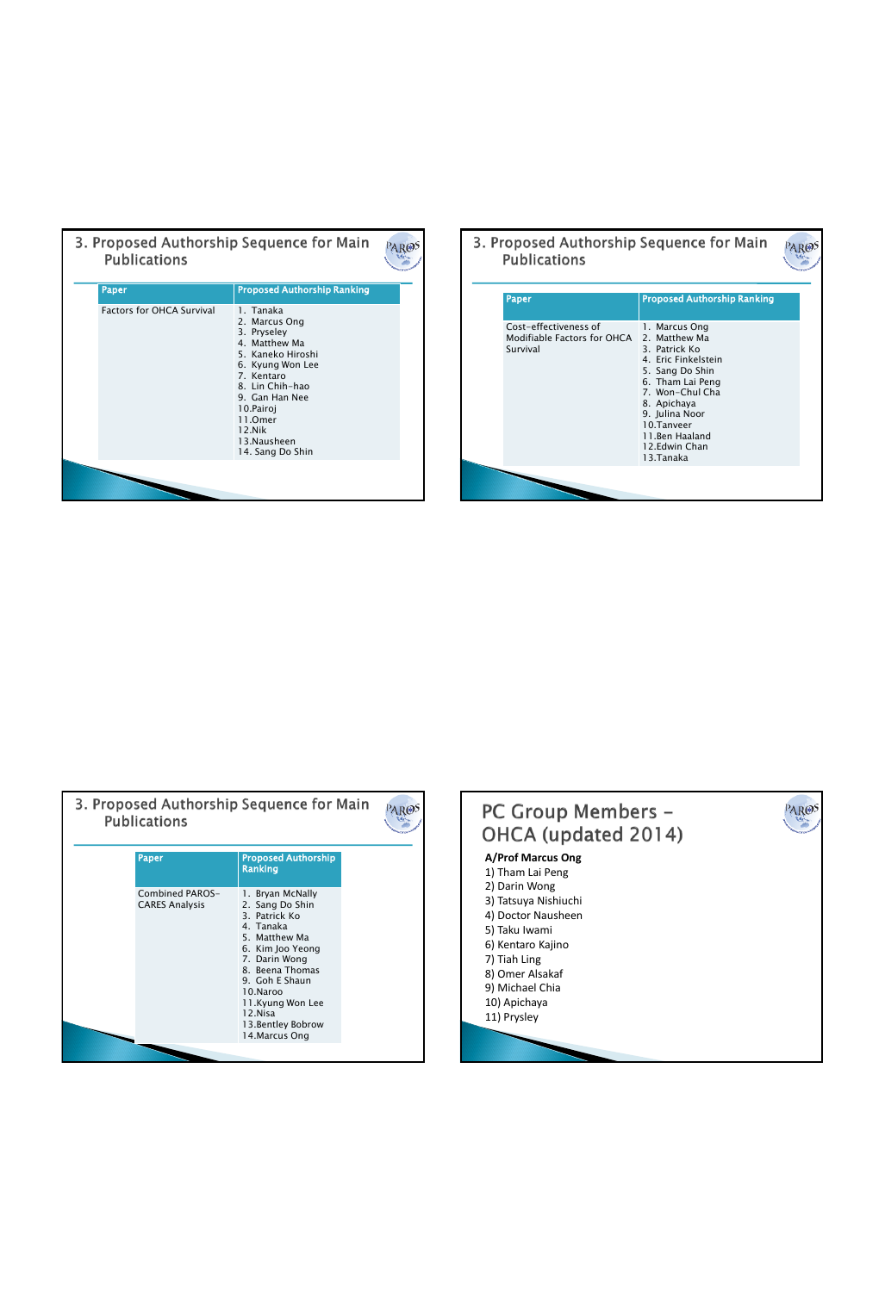| <b>Publications</b>              | 3. Proposed Authorship Sequence for Main                                                                                                                                                                                     |  |
|----------------------------------|------------------------------------------------------------------------------------------------------------------------------------------------------------------------------------------------------------------------------|--|
| Paper                            | <b>Proposed Authorship Ranking</b>                                                                                                                                                                                           |  |
| <b>Factors for OHCA Survival</b> | 1. Tanaka<br>2. Marcus Ong<br>3. Pryseley<br>4. Matthew Ma<br>5. Kaneko Hiroshi<br>6. Kyung Won Lee<br>7. Kentaro<br>8. Lin Chih-hao<br>9. Gan Han Nee<br>10.Pairoj<br>11.Omer<br>12.Nik<br>13. Nausheen<br>14. Sang Do Shin |  |
|                                  |                                                                                                                                                                                                                              |  |

|  | 3. Proposed Authorship Sequence for Main<br><b>Publications</b>  |                                                                                                                                                                                                                                 |  |
|--|------------------------------------------------------------------|---------------------------------------------------------------------------------------------------------------------------------------------------------------------------------------------------------------------------------|--|
|  | Paper                                                            | <b>Proposed Authorship Ranking</b>                                                                                                                                                                                              |  |
|  | Cost-effectiveness of<br>Modifiable Factors for OHCA<br>Survival | 1. Marcus Ong<br>2. Matthew Ma<br>3. Patrick Ko<br>4. Eric Finkelstein<br>5. Sang Do Shin<br>6. Tham Lai Peng<br>7. Won-Chul Cha<br>8. Apichaya<br>9. Julina Noor<br>10.Tanveer<br>11.Ben Haaland<br>12.Edwin Chan<br>13.Tanaka |  |
|  |                                                                  |                                                                                                                                                                                                                                 |  |

| <b>Publications</b>                      | 3. Proposed Authorship Sequence for Main                                                                                                                                                                                                        |  |
|------------------------------------------|-------------------------------------------------------------------------------------------------------------------------------------------------------------------------------------------------------------------------------------------------|--|
| Paper                                    | <b>Proposed Authorship</b><br><b>Ranking</b>                                                                                                                                                                                                    |  |
| Combined PAROS-<br><b>CARES Analysis</b> | 1. Bryan McNally<br>2. Sang Do Shin<br>3. Patrick Ko<br>4. Tanaka<br>5. Matthew Ma<br>6. Kim Joo Yeong<br>7. Darin Wong<br>8. Beena Thomas<br>9. Goh E Shaun<br>10.Naroo<br>11.Kyung Won Lee<br>12.Nisa<br>13. Bentley Bobrow<br>14. Marcus Ong |  |
|                                          |                                                                                                                                                                                                                                                 |  |

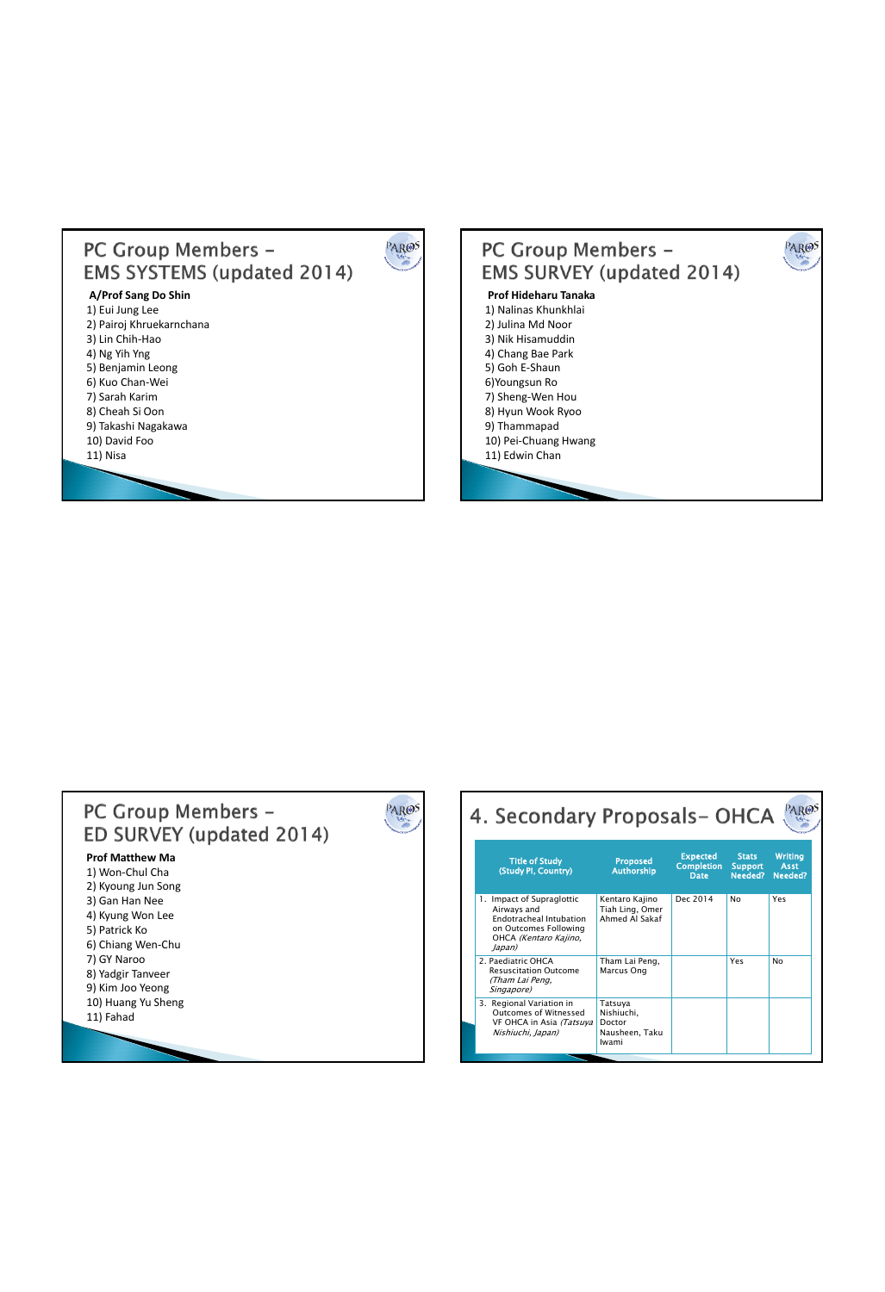## PC Group Members -**EMS SYSTEMS (updated 2014)**

PAROS

## **A/Prof Sang Do Shin**

1) Eui Jung Lee 2) Pairoj Khruekarnchana 3) Lin Chih-Hao 4) Ng Yih Yng 5) Benjamin Leong 6) Kuo Chan-Wei 7) Sarah Karim 8) Cheah Si Oon 9) Takashi Nagakawa 10) David Foo 11) Nisa





| 4. Secondary Proposals-OHCA                                                                                                            |                                                            |                                                     |                                    |                                          |
|----------------------------------------------------------------------------------------------------------------------------------------|------------------------------------------------------------|-----------------------------------------------------|------------------------------------|------------------------------------------|
| <b>Title of Study</b><br>(Study PI, Country)                                                                                           | <b>Proposed</b><br><b>Authorship</b>                       | <b>Expected</b><br><b>Completion</b><br><b>Date</b> | <b>Stats</b><br>Support<br>Needed? | <b>Writing</b><br><b>Asst</b><br>Needed? |
| 1. Impact of Supraglottic<br>Airways and<br><b>Endotracheal Intubation</b><br>on Outcomes Following<br>OHCA (Kentaro Kajino,<br>Japan) | Kentaro Kajino<br>Tiah Ling, Omer<br>Ahmed Al Sakaf        | Dec 2014                                            | No                                 | Yes                                      |
| 2. Paediatric OHCA<br><b>Resuscitation Outcome</b><br>(Tham Lai Peng,<br>Singapore)                                                    | Tham Lai Peng,<br>Marcus Ong                               |                                                     | Yes                                | No                                       |
| 3. Regional Variation in<br>Outcomes of Witnessed<br>VF OHCA in Asia (Tatsuya<br>Nishiuchi, Japan)                                     | Tatsuya<br>Nishiuchi.<br>Doctor<br>Nausheen, Taku<br>Iwami |                                                     |                                    |                                          |
|                                                                                                                                        |                                                            |                                                     |                                    |                                          |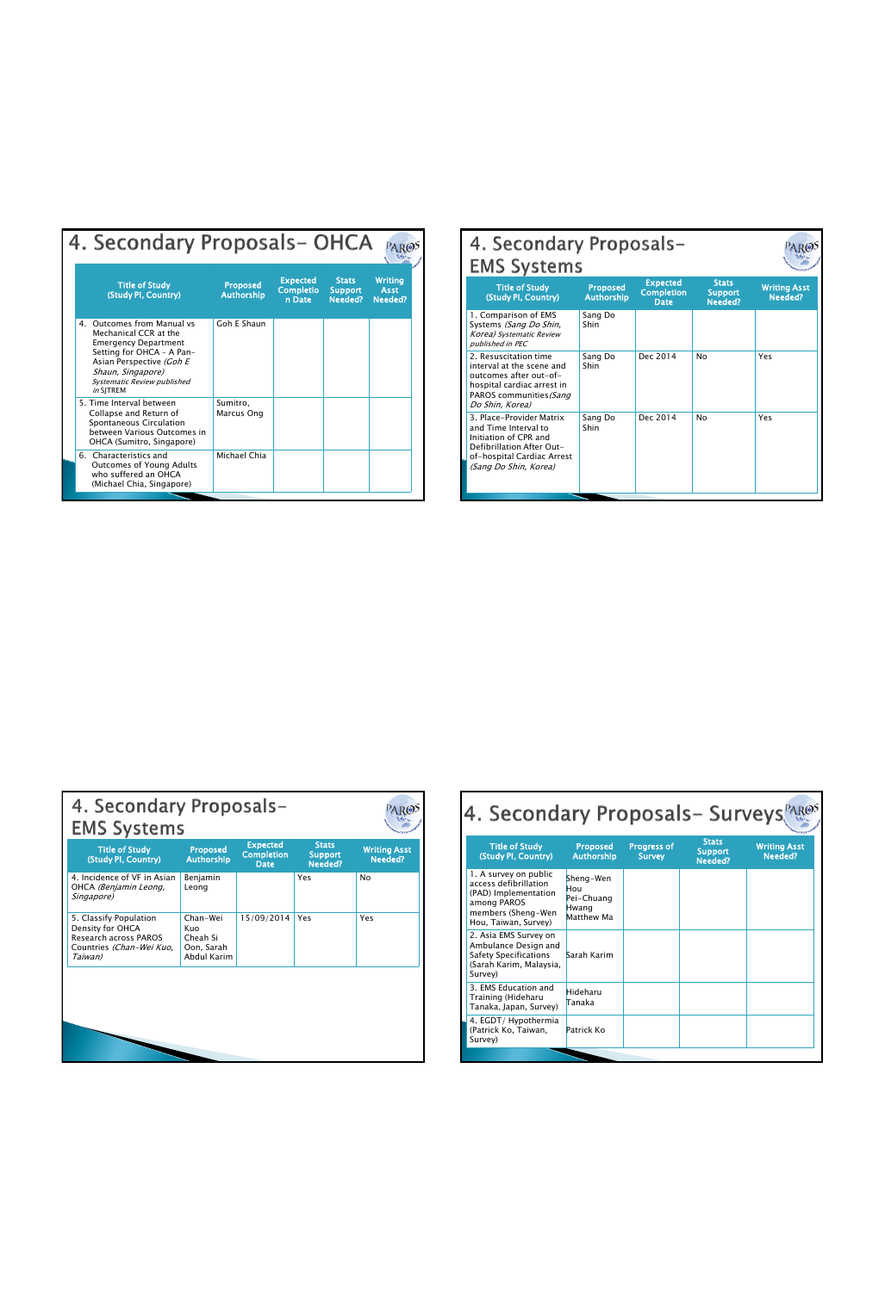| 4. Secondary Proposals-OHCA                                                                                                                                                                                            |                                      |                                               |                                           |                                          |
|------------------------------------------------------------------------------------------------------------------------------------------------------------------------------------------------------------------------|--------------------------------------|-----------------------------------------------|-------------------------------------------|------------------------------------------|
| <b>Title of Study</b><br>(Study PI, Country)                                                                                                                                                                           | <b>Proposed</b><br><b>Authorship</b> | <b>Expected</b><br><b>Completio</b><br>n Date | <b>Stats</b><br><b>Support</b><br>Needed? | <b>Writing</b><br><b>Asst</b><br>Needed? |
| Outcomes from Manual vs<br>4.<br>Mechanical CCR at the<br><b>Emergency Department</b><br>Setting for OHCA - A Pan-<br>Asian Perspective (Goh E<br>Shaun, Singapore)<br><b>Systematic Review published</b><br>in SITREM | Goh E Shaun                          |                                               |                                           |                                          |
| 5. Time Interval between<br>Collapse and Return of<br>Spontaneous Circulation<br>hetween Various Outcomes in<br>OHCA (Sumitro, Singapore)                                                                              | Sumitro.<br>Marcus Ong               |                                               |                                           |                                          |
| 6. Characteristics and<br>Outcomes of Young Adults<br>who suffered an OHCA<br>(Michael Chia, Singapore)                                                                                                                | Michael Chia                         |                                               |                                           |                                          |

| 4. Secondary Proposals-<br><b>EMS Systems</b>                                                                                                                 |                                      |                                                     |                                           |                                |  |  |  |  |  |  |
|---------------------------------------------------------------------------------------------------------------------------------------------------------------|--------------------------------------|-----------------------------------------------------|-------------------------------------------|--------------------------------|--|--|--|--|--|--|
| <b>Title of Study</b><br>(Study PI, Country)                                                                                                                  | <b>Proposed</b><br><b>Authorship</b> | <b>Expected</b><br><b>Completion</b><br><b>Date</b> | <b>Stats</b><br><b>Support</b><br>Needed? | <b>Writing Asst</b><br>Needed? |  |  |  |  |  |  |
| 1. Comparison of EMS<br>Systems (Sang Do Shin,<br>Korea) Systematic Review<br>published in PEC                                                                | Sang Do<br>Shin                      |                                                     |                                           |                                |  |  |  |  |  |  |
| 2. Resuscitation time<br>interval at the scene and<br>outcomes after out-of-<br>hospital cardiac arrest in<br>PAROS communities (Sang<br>Do Shin, Korea)      | Sang Do<br>Shin                      | Dec 2014                                            | No                                        | Yes                            |  |  |  |  |  |  |
| 3. Place-Provider Matrix<br>and Time Interval to<br>Initiation of CPR and<br>Defibrillation After Out-<br>of-hospital Cardiac Arrest<br>(Sang Do Shin, Korea) | Sang Do<br>Shin                      | Dec 2014                                            | No                                        | Yes                            |  |  |  |  |  |  |

| 4. Secondary Proposals-<br><b>EMS Systems</b>            |                                                     |                                           |                                |  |  |  |  |  |
|----------------------------------------------------------|-----------------------------------------------------|-------------------------------------------|--------------------------------|--|--|--|--|--|
| <b>Proposed</b><br><b>Authorship</b>                     | <b>Expected</b><br><b>Completion</b><br><b>Date</b> | <b>Stats</b><br><b>Support</b><br>Needed? | <b>Writing Asst</b><br>Needed? |  |  |  |  |  |
| Benjamin<br>Leong                                        |                                                     | Yes                                       | No                             |  |  |  |  |  |
| Chan-Wei<br>Kuo<br>Cheah Si<br>Oon, Sarah<br>Abdul Karim | 15/09/2014                                          | Yes                                       | Yes                            |  |  |  |  |  |
|                                                          |                                                     |                                           |                                |  |  |  |  |  |
|                                                          |                                                     |                                           |                                |  |  |  |  |  |

| 4. Secondary Proposals- Surveys                                                                                                     |                                                       |                                     |                                           |                                |
|-------------------------------------------------------------------------------------------------------------------------------------|-------------------------------------------------------|-------------------------------------|-------------------------------------------|--------------------------------|
| <b>Title of Study</b><br>(Study PI, Country)                                                                                        | <b>Proposed</b><br><b>Authorship</b>                  | <b>Progress of</b><br><b>Survey</b> | <b>Stats</b><br><b>Support</b><br>Needed? | <b>Writing Asst</b><br>Needed? |
| 1. A survey on public<br>access defibrillation<br>(PAD) Implementation<br>among PAROS<br>members (Sheng-Wen<br>Hou, Taiwan, Survey) | Sheng-Wen<br>Hou<br>Pei-Chuang<br>Hwang<br>Matthew Ma |                                     |                                           |                                |
| 2. Asia EMS Survey on<br>Ambulance Design and<br>Safety Specifications<br>(Sarah Karim, Malaysia,<br>Survey)                        | Sarah Karim                                           |                                     |                                           |                                |
| 3. EMS Education and<br>Training (Hideharu<br>Tanaka, Japan, Survey)                                                                | Hideharu<br>Tanaka                                    |                                     |                                           |                                |
| 4. EGDT/Hypothermia<br>(Patrick Ko, Taiwan,<br>Survey)                                                                              | Patrick Ko                                            |                                     |                                           |                                |
|                                                                                                                                     |                                                       |                                     |                                           |                                |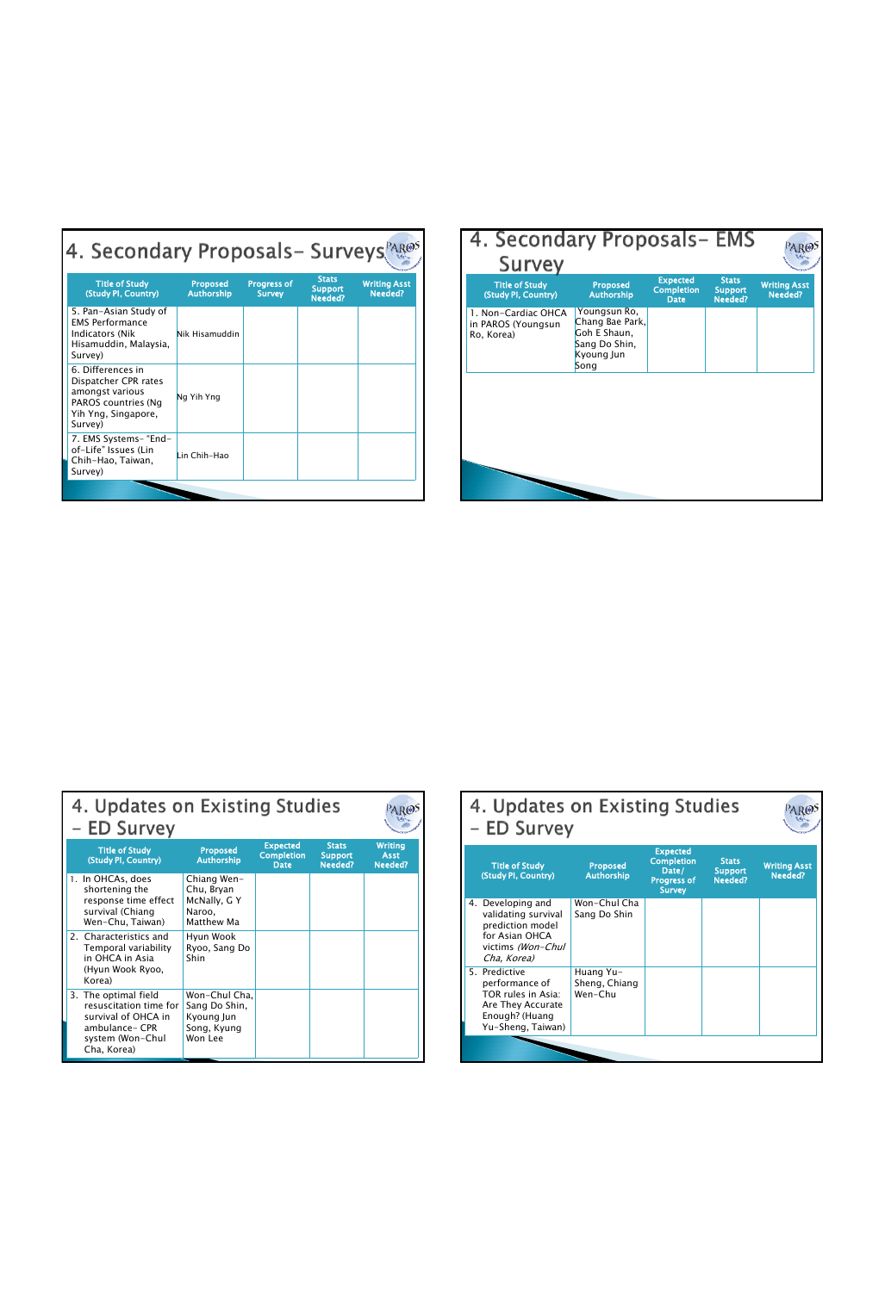| 4. Secondary Proposals- Surveys                                                                                       |                                      |                                     |                                           |                                |  |  |  |  |  |
|-----------------------------------------------------------------------------------------------------------------------|--------------------------------------|-------------------------------------|-------------------------------------------|--------------------------------|--|--|--|--|--|
| <b>Title of Study</b><br>(Study PI, Country)                                                                          | <b>Proposed</b><br><b>Authorship</b> | <b>Progress of</b><br><b>Survey</b> | <b>Stats</b><br><b>Support</b><br>Needed? | <b>Writing Asst</b><br>Needed? |  |  |  |  |  |
| 5. Pan-Asian Study of<br><b>EMS Performance</b><br><b>Indicators (Nik</b><br>Hisamuddin, Malaysia,<br>Survey)         | Nik Hisamuddin                       |                                     |                                           |                                |  |  |  |  |  |
| 6. Differences in<br>Dispatcher CPR rates<br>amongst various<br>PAROS countries (Ng<br>Yih Yng, Singapore,<br>Survey) | Ng Yih Yng                           |                                     |                                           |                                |  |  |  |  |  |
| 7. EMS Systems- "End-<br>of-Life" Issues (Lin<br>Chih-Hao, Taiwan,<br>Survey)                                         | Lin Chih-Hao                         |                                     |                                           |                                |  |  |  |  |  |
|                                                                                                                       |                                      |                                     |                                           |                                |  |  |  |  |  |

| 4. Secondary Proposals – EMS<br>Survey                  |                                                                                        |                                                     |                                           |                                |
|---------------------------------------------------------|----------------------------------------------------------------------------------------|-----------------------------------------------------|-------------------------------------------|--------------------------------|
| <b>Title of Study</b><br>(Study PI, Country)            | <b>Proposed</b><br><b>Authorship</b>                                                   | <b>Expected</b><br><b>Completion</b><br><b>Date</b> | <b>Stats</b><br><b>Support</b><br>Needed? | <b>Writing Asst</b><br>Needed? |
| 1. Non-Cardiac OHCA<br>in PAROS (Youngsun<br>Ro, Korea) | Youngsun Ro,<br>Chang Bae Park,<br>Goh E Shaun.<br>Sang Do Shin,<br>Kyoung Jun<br>Song |                                                     |                                           |                                |
|                                                         |                                                                                        |                                                     |                                           |                                |
|                                                         |                                                                                        |                                                     |                                           |                                |
|                                                         |                                                                                        |                                                     |                                           |                                |

| 4. Updates on Existing Studies<br>- ED Survey                                                                              |                                                                        |                                                     |                                           |                                          |
|----------------------------------------------------------------------------------------------------------------------------|------------------------------------------------------------------------|-----------------------------------------------------|-------------------------------------------|------------------------------------------|
| <b>Title of Study</b><br>(Study PI, Country)                                                                               | <b>Proposed</b><br><b>Authorship</b>                                   | <b>Expected</b><br><b>Completion</b><br><b>Date</b> | <b>Stats</b><br><b>Support</b><br>Needed? | <b>Writing</b><br><b>Asst</b><br>Needed? |
| 1. In OHCAs. does<br>shortening the<br>response time effect<br>survival (Chiang<br>Wen-Chu, Taiwan)                        | Chiang Wen-<br>Chu, Bryan<br>McNally, G Y<br>Naroo.<br>Matthew Ma      |                                                     |                                           |                                          |
| 2. Characteristics and<br>Temporal variability<br>in OHCA in Asia<br>(Hyun Wook Ryoo,<br>Korea)                            | Hyun Wook<br>Ryoo, Sang Do<br>Shin                                     |                                                     |                                           |                                          |
| 3. The optimal field<br>resuscitation time for<br>survival of OHCA in<br>ambulance- CPR<br>system (Won-Chul<br>Cha, Korea) | Won-Chul Cha.<br>Sang Do Shin,<br>Kyoung Jun<br>Song, Kyung<br>Won Lee |                                                     |                                           |                                          |

| 4. Updates on Existing Studies<br>- ED Survey |                                                                                                                    |                                       |                                                                                      |                                           |                                |  |  |
|-----------------------------------------------|--------------------------------------------------------------------------------------------------------------------|---------------------------------------|--------------------------------------------------------------------------------------|-------------------------------------------|--------------------------------|--|--|
|                                               | <b>Title of Study</b><br>(Study PI, Country)                                                                       | <b>Proposed</b><br><b>Authorship</b>  | <b>Expected</b><br><b>Completion</b><br>Date/<br><b>Progress of</b><br><b>Survey</b> | <b>Stats</b><br><b>Support</b><br>Needed? | <b>Writing Asst</b><br>Needed? |  |  |
|                                               | 4. Developing and<br>validating survival<br>prediction model<br>for Asian OHCA<br>victims (Won-Chul<br>Cha, Korea) | Won-Chul Cha<br>Sang Do Shin          |                                                                                      |                                           |                                |  |  |
|                                               | 5. Predictive<br>performance of<br>TOR rules in Asia:<br>Are They Accurate<br>Enough? (Huang<br>Yu-Sheng, Taiwan)  | Huang Yu-<br>Sheng, Chiang<br>Wen-Chu |                                                                                      |                                           |                                |  |  |
|                                               |                                                                                                                    |                                       |                                                                                      |                                           |                                |  |  |